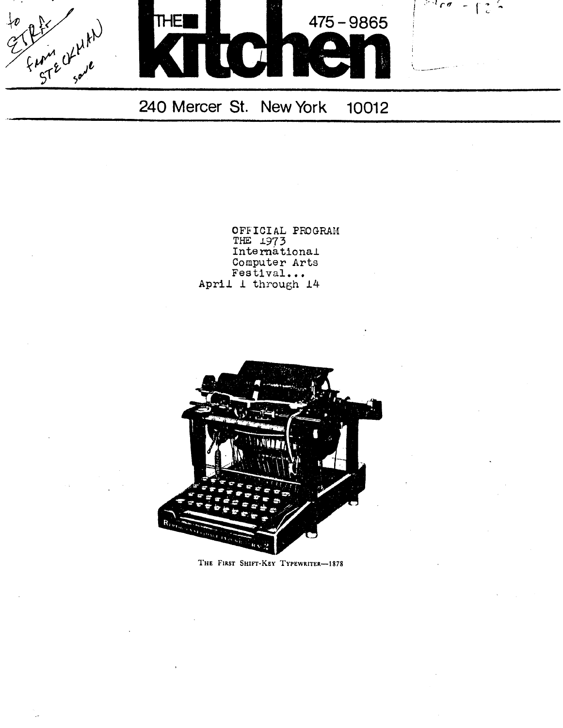$\frac{5}{2}$  50 ر<br>مار<sub>ه</sub>



 $5400 - 125$ 

240 Mercer St. New York 10012

OFFICIAL PROGRAM THE 1973 International Computer Arts Festival... April 1 through 14



THE FIRST SHIFT-KEY TYPEWRITER-1878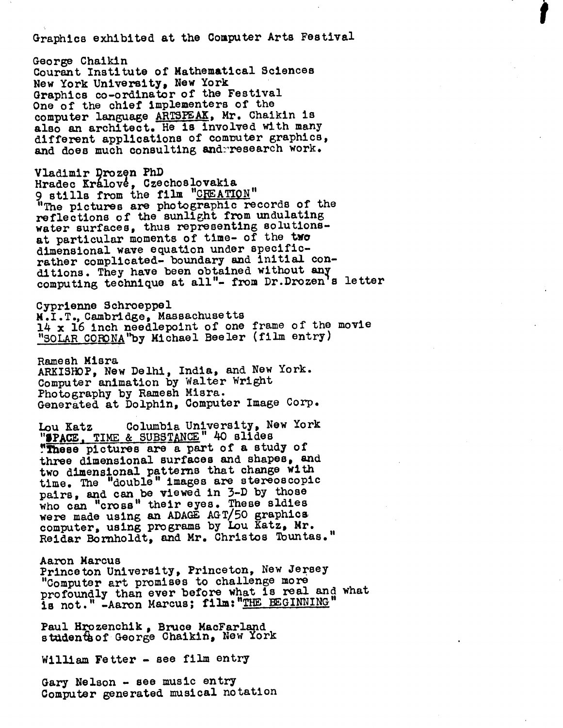Graphics exhibited at the Computer Arts Festival

George Chaikin Courant Institute of Mathematical Sciences New York University, New York Graphics co-ordinator of the Festival One of the chief implementers of the computer language ARTSPEAK, Mr. Chaikin is also an architect. He is involved with many different applications of commuter graphics, and does much consulting and research work.

Vladimir Drozen PhD Hradec Králové, Czechoslovakia 9 stills from the film "CREATION" "The pictures are photographic records of the reflections of the sunlight from undulating water surfaces, thus representing solutionsat particular moments of time- of the two dimensional wave equation under specificrather complicated- boundary and initial conditions. They have been obtained without any computing technique at all"- from Dr.Drozen's letter

Cyprienne Schroeppel M .I .T ., Cambridge, Massachusetts 14 x 16 inch needlepoint of one frame of the movie "SOLAR CORONA "by Michael Beeler (film entry)

Ramesh Misra ARKISHOP, New Delhi, India, and New York . Computer animation by Walter Wright Photography by Ramesh Misra. Generated at Dolphin, Computer Image Corp .

Lou Katz Columbia University, New York "SPACE, TIME & SUBSTANCE" 40 slides "These pictures are a part of a study of three dimensional surfaces and shapes, and two dimensional patterns that change with time . The "double" images are stereoscopic pairs , and can be viewed in 3-D by those who can "cross" their eyes. These sldies were made using an ADAGE AGT/50 graphics computer, using programs by Lou Katz, Mr. Reidar Bornholdt, and Mr. Christos Tountas ."

Aaron Marcus Princeton University, Princeton, New Jersey "Computer art promises to challenge more profoundly than ever before what is real and what is not." -Aaron Marcus; film: "THE BEGINNING

Paul Hrozenchik , Bruce MacFarland studenthof George Chaikin, New York

William Fetter - see film entry

Gary Nelson - see music entry Computer generated musical notation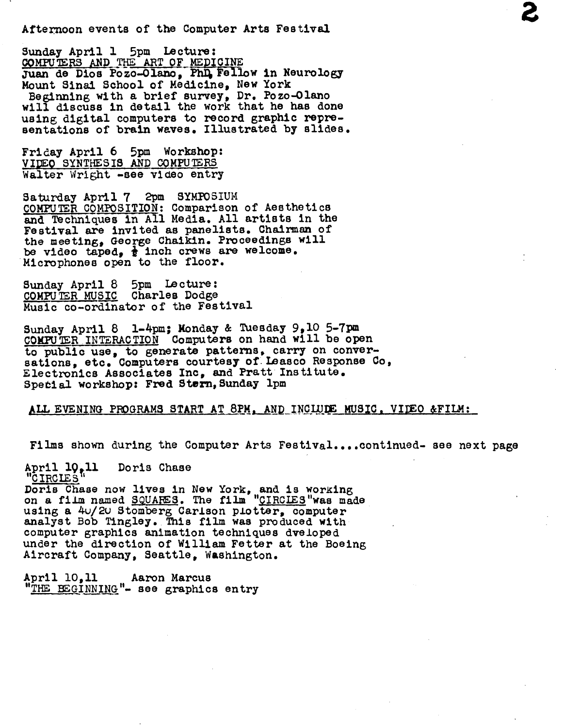Afternoon events of the Computer Arts Festival

Sunday April 1 5pm Lecture : COMPUTERS AND THE ART OF MEDICINE Juan de Dios Pozo-Olano, Phi, Fellow in Neurology Mount Sinai School of Medicine, New York Beginning with a brief survey, Dr. Pozo-Olano will discuss in detail the work that he has done using digital computers to record graphic representations of brain waves. Illustrated by slides.

Friday April 6 5pm Workshop: VIDEO SYNTHESIS AND COMPUTERS Walter Wright -see video entry

Saturday April 7 2pm SYMPOSIUM COMPUTER COMPOSITION: Comparison of Aesthetics and Techniques in All Media. All artists in the Festival are invited as panelists. Chairman of the meeting, George Chaikin. Proceedings will be video taped,  $\frac{1}{2}$  inch crews are welcome. Microphones open to the floor .

Sunday April 8 5pm Lecture COMPUTER MUSIC Charles Dodge Music co-ordinator of the Festival

Sunday April 8 1-4pm; Monday & Tuesday 9,10 5-7pm CONFUTER INTERACTION Computers on hand will be open to public use, to generate patterns, carry on conversations, etc. Computers courtesy of Leasco Response Co, Electronics Associates Inc, and Pratt Institute . Spetial workshop: Fred Stern, Sunday 1pm

## ALL EVENING PROGRAMS START AT 8PM, AND INCLUDE MUSIC, VIDEO &FILM :

Films shown during the Computer Arts Festival....continued- see next page

April 10,11 Doris Chase "CIRCLES' Doris Chase now lives in New York, and is working on a film named SQUAFES. The film "CIRCIES" was made using a 4u/2u Stomberg Carlson plotter, computer analyst Bob Tingley. This film was produced with computer graphics animation techniques dveloped under the direction of William Fetter at the Boeing Aircraft Company, Seattle, Washington .

April 10,11 Aaron Marcus "THE BEGINNING"- see graphics entry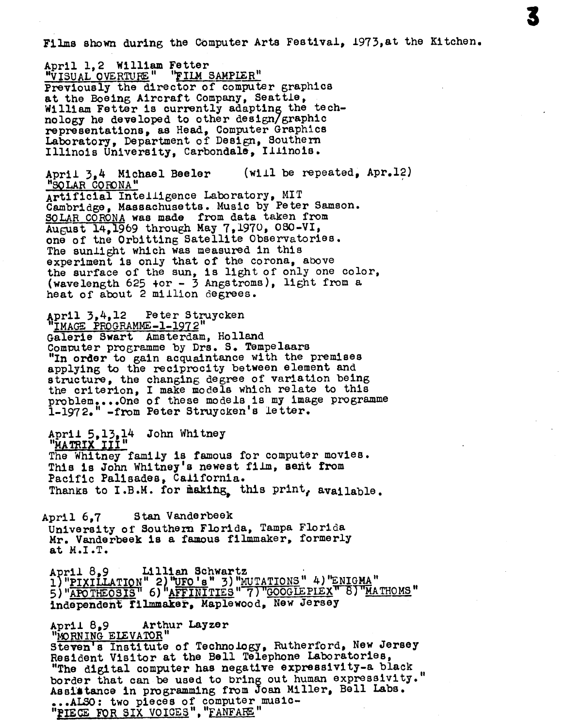Films shown during the Computer Arts Festival, 1973,at the Kitchen.

April 1.2 William Fetter "VISUAL OVERTURE" "FILM SAMPLER" Previously the director of computer graphics at the Boeing Aircraft Company, Seattle, William Fetter is currently adapting the technology he developed to other design/graphic representations, as Head, Computer Graphics Laboratory, Department of Design, Southern Illinois University, Carbondale, Illinois .

April 3.4 Michael Beeler (will be repeated, Apr.12) "SOLAR CORONA" Artificial Intelligence Laboratory, MIT Cambridge, Massachusetts . Music by Peter Samson . SOLAR CORONA was made from data taken from August 14,1969 through May 7,1970, 030-VI, one of the Orbitting Satellite Observatories . The sunlight which was measured in this experiment is only that of the corona, above the surface of the sun, is light of only one color, (wavelength 625 +or - 3 Angstroms), light from a heat of about 2 million degrees .

April 3,4,12 Peter Struycken<br>"IMAGE PROCRAMME 1 1072" IMAGE PROGRAMME-1-1972" Galerie Swart Amsterdam, Holland Computer programme by Drs. S. Tempelaars "In order to gain acquaintance with the premises applying to the reciprocity between element and structure, the changing degree of variation being the criterion, I make models which relate to this problem....One of these models is my image programme 1-1972." -from Peter Struycken's letter .

April 5,13,14 John Whitney<br>"<u>MATRIX III"</u><br>The Whitney family is famou The Whitney family is famous for computer movies. This is John Whitney's newest film, sent from Pacific Palisades, California. Thanks to I.B.M. for making, this print, available.

April 6.7 Stan Vanderbeek University of Southern Florida, Tampa Florida Mr . Vanderbeek is a famous filmmaker, formerly at M.I.T.

April 8,9 Lillian Schwartz<br>2) Univited William Schwartz APTII OSY ... IIIIEN SCHWEFUZ<br>1) "<u>PIXILLATION" 2) "UFO's " 3) "MUTATIONS "</u> 4) "ENIGMA"<br>5) "<u>APOTHEOSIS</u>" 6) "AFFINITIES " 7) "GOOGLEPIEX" 8) "MATHOMS"<br>independent filmmaker, Maplewood, New Jersey Independent filmmaker, Maplewood, New Jersey

April 8,9 Arthur Layzer "MORNING ELEVATOR" Steven's Institute of Technology, Rutherford, New Jersey Resident Visitor at the Bell Telephone Laboratories, "The digital computer has negative expressivity-a black border that can be used to bring out human expressivity." Assistance in programming from Joan Miller, Bell Labs . ...ALSO: two pieces of computer music-<br>National pop sty votes! "EANEARE" "PIECE FOR SIX VOICES", "FANFARE"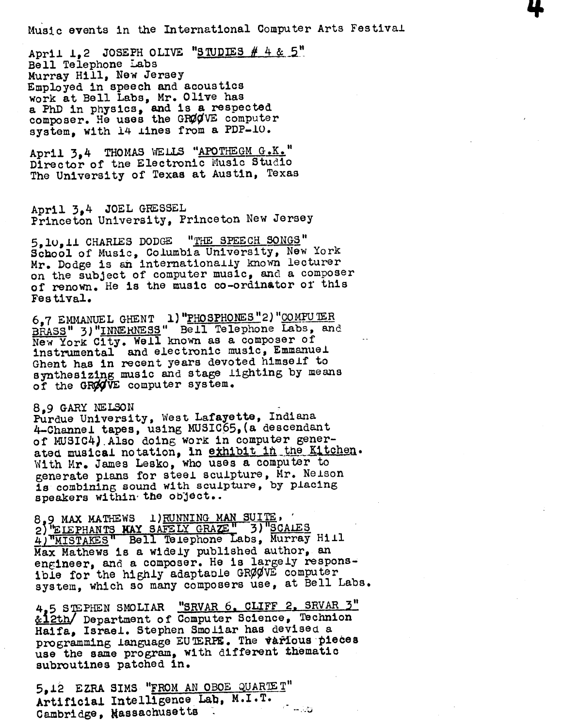Music events in the International Computer Arts Festival

April 1,2 JOSEPH OLIVE "STUDIES  $# 4 & 5"$ Bell Telephone Labs Murray Hill, New Jersey Employed in speech and acoustics work at Bell Labs, Mr. Olive has a PhD in physics, and is a respected composer. He uses the GRØØVE computer system, with 14 lines from a PDP-10.

April 3.4 THOMAS WELLS "APOTHEGM G.K." Director of the Electronic Music Studio The University of Texas at Austin, Texas

April 3,4 JOEL GFESSEL Princeton University, Princeton New Jersey

5,10,11 CHARLES DODGE "THE SPEECH SONGS" School of Music, Columbia University, New York Mr. Dodge is an internationally known lecturer on the subject of computer music, and <sup>a</sup> composer of renown . He is the music co-ordinator of this Festival .

6,7 EMMANUEL GHENT 1) "PHOSPHONES" 2) "COMPUTER BRASS" 3) "INNERNESS" Bell Telephone Labs, and New York City. Well known as a composer of instrumental and electronic music, Emmanuel Ghent has in recent years devoted himself to synthesizing music and stage lighting by means of the GROOVE computer system.

## 8,,9 GARY NELSON

Purdue University, West Lafayette, Indiana 4-Channel tapes, using MUSIC65,(a descendant of MUSIC4) .Also doing work in computer generated musical notation, in exhibit in the Kitchen. With Mr. James Lesko, who uses a computer to generate plans for steel sculpture, Mr. Nelson is combining sound with sculpture, by placing speakers within the object..

speakers within the cbjocor.<br>8,9 MAX MATHEWS 1) RUNNING MAN SUITE, ...<br>2) ELEPHANTS MAY SAFELY GRAZE, 3) SCALES 2) <u>EIEFHANIS AAI SAFELI GRACE</u><br>4) MISTAKES Bell Telephone Labs, Murray Hill<br>Wax Mathews is a widely published author, an Max Mathews is a widely published author, an engineer, and a composer. He is largely responsible for the highly adaptable GRØØVE computer system, which so many composers use, at Bell Labs.

4,5 STEPHEN SMOLIAR "SRVAR 6. CLIFF 2. SRVAR 3" &12th/ Department of Computer Science, Technion Haifa, Israel. Stephen Smoliar has devised a programming language EU TERPE. The various pieces use the same program, with different thematic subroutines patched in.

5,12 EZRA SIMS " FROM AN OBOE gUARTE T" Artificial Intelligence Lab, M.I.T. ే ఉన్నవి Cambridge, Hassachusetts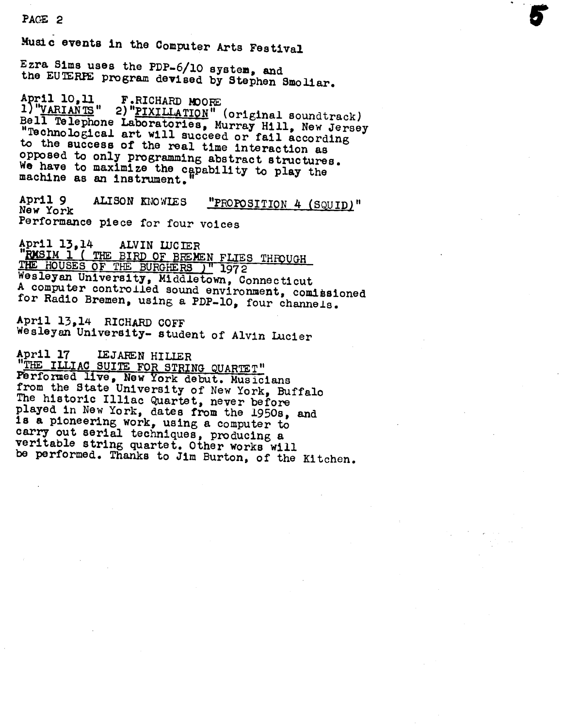PACE 2 Music events in the Computer Arts Festival<br>Ezra Sims uses the PDP-6/10 system, and the EUTERPE program devised by Stephen Smoliar. April 10,11 F.RICHARD MOORE<br>1) "VARIANTS" 2) "PIXILLATION" (original soundtrack)<br>Bell Telephone Laboratories, Murray Hill, New Jersey<br>"Technological art will succeed or fail according<br>to the success of the real time intera We have to maximize the capability to play the machine as an instrument." April 9 ALISON KNOWIES "PROPOSITION 4 (SQUID)" New York Performance piece for four voices April  $13,14$  ALVIN LUCIER "RMSIM 1 ( THE BIRD OF BREMEN FLIES THROUGH<br>THE HOUSES OF THE BURGHERS )" 1972<br>Wesleven University Middleter 2 THE HOUSES OF THE BURGHERS J<sup>H</sup> 1972<br>Wesleyan University, Middletown, Connecticut<br>A computer controlled sound environment, comissioned<br>for Radio Bremen, using a PDP-10, four channels. April 13,14 RICHARD COFF Wesleyan University- student of Alvin Lucier April 17 LEJAREN HILLER<br>"THE ILLIAC SUITE FOR STRING QUARTET" Performed live, New York debut. Musicians<br>from the State University of New York, Buffalo<br>The historic Illiac Quartet, never before<br>played in New York, dates from the 1950s, and<br>is a pioneering work, using a computer to carry out serial techniques, producing a<br>veritable string quartet. Other works will be performed. Thanks to Jim Burton, of the Kitchen.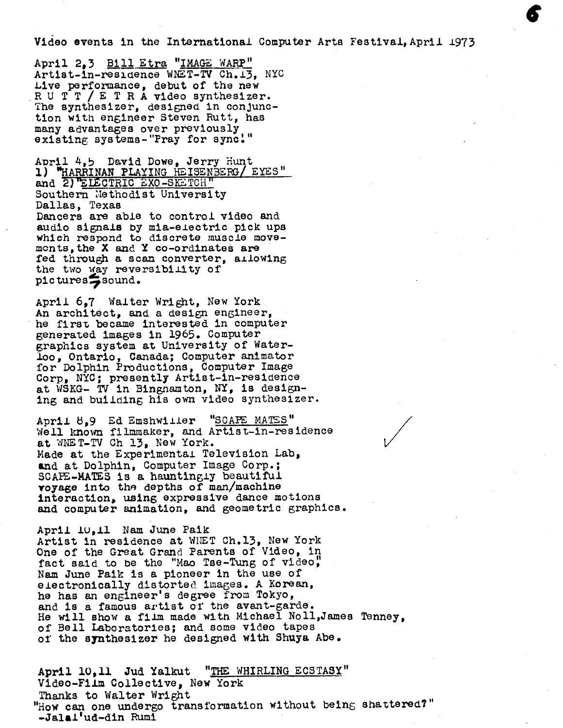Video events in the International Computer Arts Festival, April 1973

April 2,3 Bill Etra "IMAGE WARP" Artist-in-residence WNET-TV Ch.13. NYC Live performance, debut of the new R U T T / E T R A video synthesizer. The synthesizer, designed in conjunction with engineer Steven Rutt, has many advantages over previously existing systems-"Pray for sync!"

April 4,5 David Dowe, Jerry Hunt 1) "HARRINAN PLAYING HEISENBERG/ EYES" and 2) ELECTRIC EXO-SKETCH" Southern Methodist University Dallas, Texas Dancers are able to control video and audio signals by mia-electric pick ups which respond to discrete muscle movemonis ,the X and Y co-ordinates are fed through a scan converter, allowing the two way reversibility of pictures sound.

April 697 Walter Wright, New York An architect, and a design engineer, he first became interested in computer generated images in 1965 . Computer graphics system at University of Waterloo, Ontario, Canada; Computer animator for Dolphin Productions, Computer Image Corp, NYC ; presently Artist-in-residence at WSKG- TV in Binghamton, NY, is designing and building his own video synthesizer.

April 8.9 Ed Emshwiller "SCAPE MATES" Well known filmmaker, and Artist-in-residence at WNET-TV Ch 13, New York. Made at the Experimental Television Lab, and at Dolphin, Computer Image Corp.: SCAPE-MATES is a hauntingly beautiful voyage into the depths of man/machine interaction, using expressive dance motions and computer animation, and geometric graphics .

April 10,11 Nam June Paik Artist in residence at WHET Ch.13, New York One of the Great Grand Parents of Video, in fact said to be the "Mao Tse-Tung of video," Nam June Paik is a pioneer in the use of electronically distorted images. A Korean, he has an engineer's degree from Tokyo, and is a famous artist of the avant-garde . He will show a film made with Michael Noll,James Tenney, of Bell Laboratories; and some video tapes of the synthesizer he designed with Shuya Abe .

April 10, 11 Jud Yalkut "THE WHIRLING ECSTASY" Video-Film Collective, New York Thanks to Walter Wright "How can one undergo transformation without being shattered?" -Jalai'ud-din Rumi